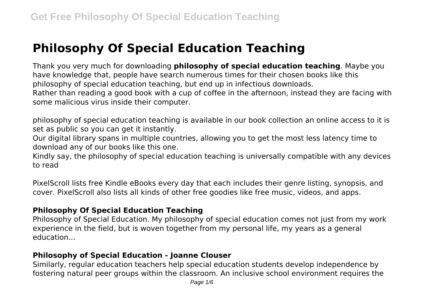# **Philosophy Of Special Education Teaching**

Thank you very much for downloading **philosophy of special education teaching**. Maybe you have knowledge that, people have search numerous times for their chosen books like this philosophy of special education teaching, but end up in infectious downloads. Rather than reading a good book with a cup of coffee in the afternoon, instead they are facing with some malicious virus inside their computer.

philosophy of special education teaching is available in our book collection an online access to it is set as public so you can get it instantly.

Our digital library spans in multiple countries, allowing you to get the most less latency time to download any of our books like this one.

Kindly say, the philosophy of special education teaching is universally compatible with any devices to read

PixelScroll lists free Kindle eBooks every day that each includes their genre listing, synopsis, and cover. PixelScroll also lists all kinds of other free goodies like free music, videos, and apps.

#### **Philosophy Of Special Education Teaching**

Philosophy of Special Education. My philosophy of special education comes not just from my work experience in the field, but is woven together from my personal life, my years as a general education...

#### **Philosophy of Special Education - Joanne Clouser**

Similarly, regular education teachers help special education students develop independence by fostering natural peer groups within the classroom. An inclusive school environment requires the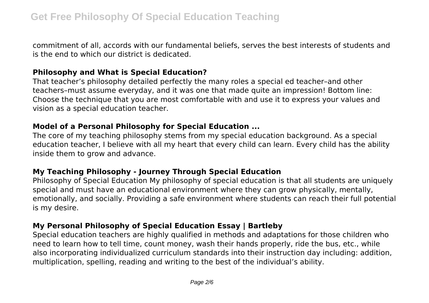commitment of all, accords with our fundamental beliefs, serves the best interests of students and is the end to which our district is dedicated.

#### **Philosophy and What is Special Education?**

That teacher's philosophy detailed perfectly the many roles a special ed teacher–and other teachers–must assume everyday, and it was one that made quite an impression! Bottom line: Choose the technique that you are most comfortable with and use it to express your values and vision as a special education teacher.

#### **Model of a Personal Philosophy for Special Education ...**

The core of my teaching philosophy stems from my special education background. As a special education teacher, I believe with all my heart that every child can learn. Every child has the ability inside them to grow and advance.

## **My Teaching Philosophy - Journey Through Special Education**

Philosophy of Special Education My philosophy of special education is that all students are uniquely special and must have an educational environment where they can grow physically, mentally, emotionally, and socially. Providing a safe environment where students can reach their full potential is my desire.

## **My Personal Philosophy of Special Education Essay | Bartleby**

Special education teachers are highly qualified in methods and adaptations for those children who need to learn how to tell time, count money, wash their hands properly, ride the bus, etc., while also incorporating individualized curriculum standards into their instruction day including: addition, multiplication, spelling, reading and writing to the best of the individual's ability.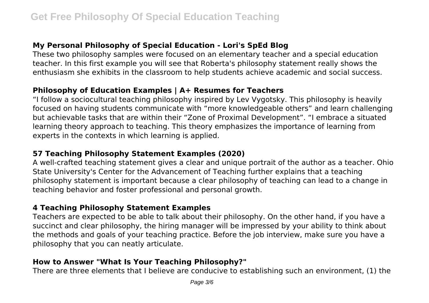## **My Personal Philosophy of Special Education - Lori's SpEd Blog**

These two philosophy samples were focused on an elementary teacher and a special education teacher. In this first example you will see that Roberta's philosophy statement really shows the enthusiasm she exhibits in the classroom to help students achieve academic and social success.

#### **Philosophy of Education Examples | A+ Resumes for Teachers**

"I follow a sociocultural teaching philosophy inspired by Lev Vygotsky. This philosophy is heavily focused on having students communicate with "more knowledgeable others" and learn challenging but achievable tasks that are within their "Zone of Proximal Development". "I embrace a situated learning theory approach to teaching. This theory emphasizes the importance of learning from experts in the contexts in which learning is applied.

#### **57 Teaching Philosophy Statement Examples (2020)**

A well-crafted teaching statement gives a clear and unique portrait of the author as a teacher. Ohio State University's Center for the Advancement of Teaching further explains that a teaching philosophy statement is important because a clear philosophy of teaching can lead to a change in teaching behavior and foster professional and personal growth.

#### **4 Teaching Philosophy Statement Examples**

Teachers are expected to be able to talk about their philosophy. On the other hand, if you have a succinct and clear philosophy, the hiring manager will be impressed by your ability to think about the methods and goals of your teaching practice. Before the job interview, make sure you have a philosophy that you can neatly articulate.

## **How to Answer "What Is Your Teaching Philosophy?"**

There are three elements that I believe are conducive to establishing such an environment, (1) the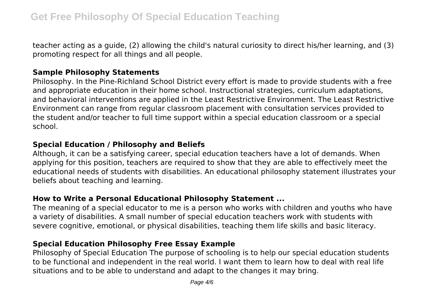teacher acting as a guide, (2) allowing the child's natural curiosity to direct his/her learning, and (3) promoting respect for all things and all people.

#### **Sample Philosophy Statements**

Philosophy. In the Pine-Richland School District every effort is made to provide students with a free and appropriate education in their home school. Instructional strategies, curriculum adaptations, and behavioral interventions are applied in the Least Restrictive Environment. The Least Restrictive Environment can range from regular classroom placement with consultation services provided to the student and/or teacher to full time support within a special education classroom or a special school.

#### **Special Education / Philosophy and Beliefs**

Although, it can be a satisfying career, special education teachers have a lot of demands. When applying for this position, teachers are required to show that they are able to effectively meet the educational needs of students with disabilities. An educational philosophy statement illustrates your beliefs about teaching and learning.

#### **How to Write a Personal Educational Philosophy Statement ...**

The meaning of a special educator to me is a person who works with children and youths who have a variety of disabilities. A small number of special education teachers work with students with severe cognitive, emotional, or physical disabilities, teaching them life skills and basic literacy.

## **Special Education Philosophy Free Essay Example**

Philosophy of Special Education The purpose of schooling is to help our special education students to be functional and independent in the real world. I want them to learn how to deal with real life situations and to be able to understand and adapt to the changes it may bring.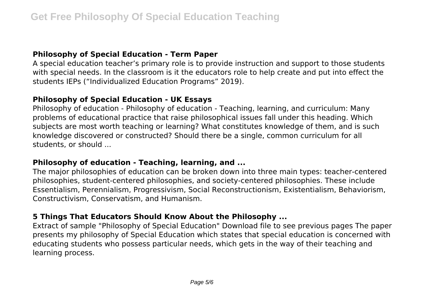## **Philosophy of Special Education - Term Paper**

A special education teacher's primary role is to provide instruction and support to those students with special needs. In the classroom is it the educators role to help create and put into effect the students IEPs ("Individualized Education Programs" 2019).

### **Philosophy of Special Education - UK Essays**

Philosophy of education - Philosophy of education - Teaching, learning, and curriculum: Many problems of educational practice that raise philosophical issues fall under this heading. Which subjects are most worth teaching or learning? What constitutes knowledge of them, and is such knowledge discovered or constructed? Should there be a single, common curriculum for all students, or should ...

#### **Philosophy of education - Teaching, learning, and ...**

The major philosophies of education can be broken down into three main types: teacher-centered philosophies, student-centered philosophies, and society-centered philosophies. These include Essentialism, Perennialism, Progressivism, Social Reconstructionism, Existentialism, Behaviorism, Constructivism, Conservatism, and Humanism.

#### **5 Things That Educators Should Know About the Philosophy ...**

Extract of sample "Philosophy of Special Education" Download file to see previous pages The paper presents my philosophy of Special Education which states that special education is concerned with educating students who possess particular needs, which gets in the way of their teaching and learning process.